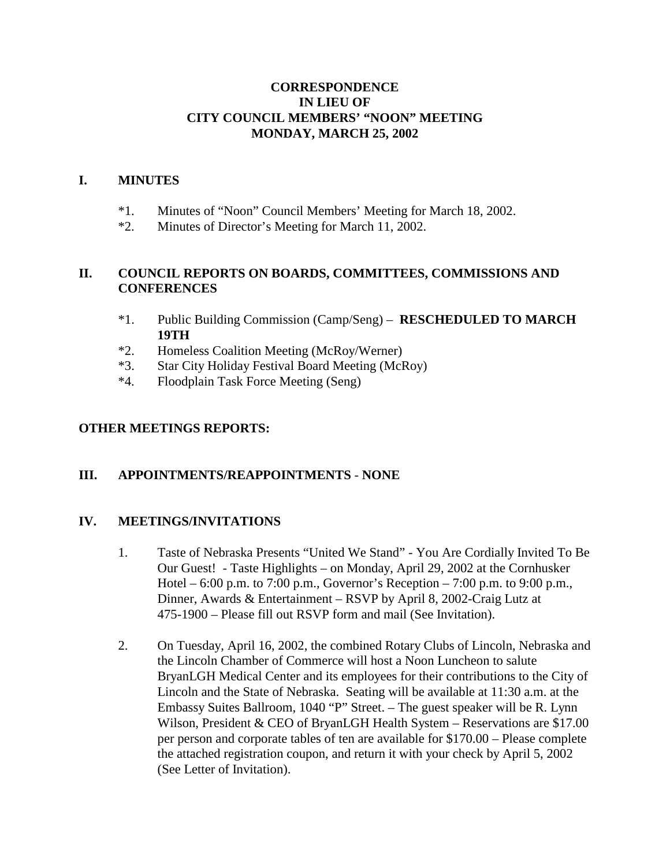#### **CORRESPONDENCE IN LIEU OF CITY COUNCIL MEMBERS' "NOON" MEETING MONDAY, MARCH 25, 2002**

#### **I. MINUTES**

- \*1. Minutes of "Noon" Council Members' Meeting for March 18, 2002.
- \*2. Minutes of Director's Meeting for March 11, 2002.

### **II. COUNCIL REPORTS ON BOARDS, COMMITTEES, COMMISSIONS AND CONFERENCES**

- \*1. Public Building Commission (Camp/Seng) **RESCHEDULED TO MARCH 19TH**
- \*2. Homeless Coalition Meeting (McRoy/Werner)
- \*3. Star City Holiday Festival Board Meeting (McRoy)
- \*4. Floodplain Task Force Meeting (Seng)

#### **OTHER MEETINGS REPORTS:**

### **III. APPOINTMENTS/REAPPOINTMENTS** - **NONE**

### **IV. MEETINGS/INVITATIONS**

- 1. Taste of Nebraska Presents "United We Stand" You Are Cordially Invited To Be Our Guest! - Taste Highlights – on Monday, April 29, 2002 at the Cornhusker Hotel – 6:00 p.m. to 7:00 p.m., Governor's Reception – 7:00 p.m. to 9:00 p.m., Dinner, Awards & Entertainment – RSVP by April 8, 2002-Craig Lutz at 475-1900 – Please fill out RSVP form and mail (See Invitation).
- 2. On Tuesday, April 16, 2002, the combined Rotary Clubs of Lincoln, Nebraska and the Lincoln Chamber of Commerce will host a Noon Luncheon to salute BryanLGH Medical Center and its employees for their contributions to the City of Lincoln and the State of Nebraska. Seating will be available at 11:30 a.m. at the Embassy Suites Ballroom, 1040 "P" Street. – The guest speaker will be R. Lynn Wilson, President & CEO of BryanLGH Health System – Reservations are \$17.00 per person and corporate tables of ten are available for \$170.00 – Please complete the attached registration coupon, and return it with your check by April 5, 2002 (See Letter of Invitation).